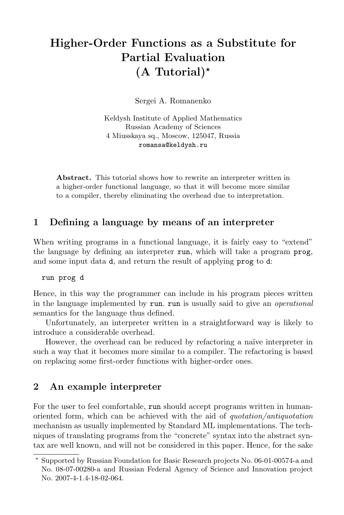# Higher-Order Functions as a Substitute for Partial Evaluation  $(A$  Tutorial)<sup>\*</sup>

Sergei A. Romanenko

Keldysh Institute of Applied Mathematics Russian Academy of Sciences 4 Miusskaya sq., Moscow, 125047, Russia romansa@keldysh.ru

Abstract. This tutorial shows how to rewrite an interpreter written in a higher-order functional language, so that it will become more similar to a compiler, thereby eliminating the overhead due to interpretation.

## 1 Defining a language by means of an interpreter

When writing programs in a functional language, it is fairly easy to "extend" the language by defining an interpreter run, which will take a program prog, and some input data d, and return the result of applying prog to d:

run prog d

Hence, in this way the programmer can include in his program pieces written in the language implemented by run. run is usually said to give an operational semantics for the language thus defined.

Unfortunately, an interpreter written in a straightforward way is likely to introduce a considerable overhead.

However, the overhead can be reduced by refactoring a naïve interpreter in such a way that it becomes more similar to a compiler. The refactoring is based on replacing some first-order functions with higher-order ones.

#### 2 An example interpreter

For the user to feel comfortable, run should accept programs written in humanoriented form, which can be achieved with the aid of quotation/antiquotation mechanism as usually implemented by Standard ML implementations. The techniques of translating programs from the "concrete" syntax into the abstract syntax are well known, and will not be considered in this paper. Hence, for the sake

<sup>?</sup> Supported by Russian Foundation for Basic Research projects No. 06-01-00574-a and No. 08-07-00280-a and Russian Federal Agency of Science and Innovation project No. 2007-4-1.4-18-02-064.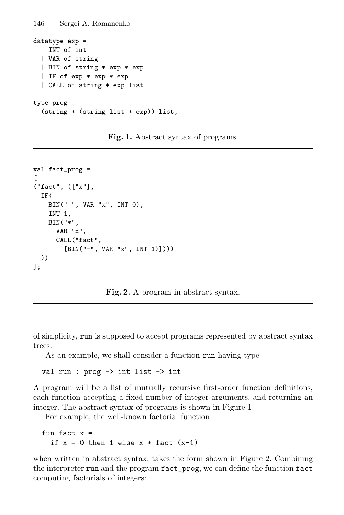```
146 Sergei A. Romanenko
datatype exp =
    INT of int
  | VAR of string
  | BIN of string * exp * exp
  | IF of exp * exp * exp
  | CALL of string * exp list
type prog =
  (string * (string list * exp)) list;
```
Fig. 1. Abstract syntax of programs.

```
val fact_prog =
\Gamma("fact", (["x"],
  IF(
    BIN("=", VAR "x", INT 0),INT 1,
    BIN("*",
      VAR "x",
      CALL("fact",
         [BIN("-", VAR "x", INT 1)])))))
];
```
Fig. 2. A program in abstract syntax.

of simplicity, run is supposed to accept programs represented by abstract syntax trees.

As an example, we shall consider a function run having type

val run : prog -> int list -> int

A program will be a list of mutually recursive first-order function definitions, each function accepting a fixed number of integer arguments, and returning an integer. The abstract syntax of programs is shown in Figure 1.

For example, the well-known factorial function

```
fun fact x =if x = 0 then 1 else x * fact (x-1)
```
when written in abstract syntax, takes the form shown in Figure 2. Combining the interpreter run and the program fact\_prog, we can define the function fact computing factorials of integers: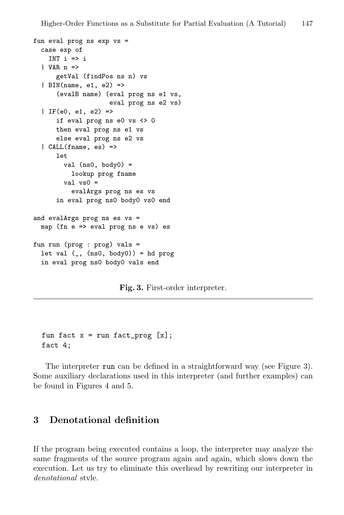```
fun eval prog ns exp vs =
 case exp of
   INT i \Rightarrow i| VAR n =>
      getVal (findPos ns n) vs
  | BIN(name, e1, e2) =>
      (evalB name) (eval prog ns e1 vs,
                    eval prog ns e2 vs)
  | IF(e0, e1, e2) =>
      if eval prog ns e0 vs <> 0
      then eval prog ns e1 vs
      else eval prog ns e2 vs
  | CALL(fname, es) =>
      let
        val (ns0, body0) =lookup prog fname
        val vs0 =evalArgs prog ns es vs
      in eval prog ns0 body0 vs0 end
and evalArgs prog ns es vs =
 map (fn e => eval prog ns e vs) es
fun run (prog : prog) vals =
 let val (, (ns0, body0)) = hd prog
 in eval prog ns0 body0 vals end
```
Fig. 3. First-order interpreter.

```
fun fact x = run fact\_prog [x];fact 4;
```
The interpreter run can be defined in a straightforward way (see Figure 3). Some auxiliary declarations used in this interpreter (and further examples) can be found in Figures 4 and 5.

## 3 Denotational definition

If the program being executed contains a loop, the interpreter may analyze the same fragments of the source program again and again, which slows down the execution. Let us try to eliminate this overhead by rewriting our interpreter in denotational style.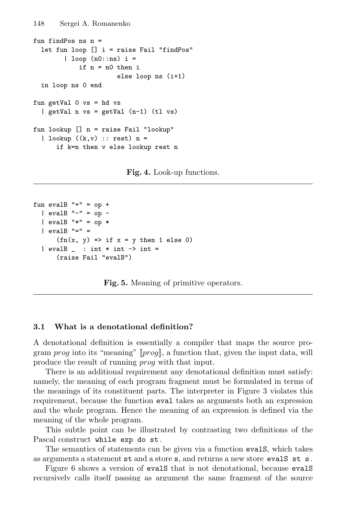```
fun findPos ns n =
  let fun loop [] i = raise Fail "findPos"
        | loop (n0::ns) i =
            if n = n0 then i
                      else loop ns (i+1)
  in loop ns 0 end
fun getVal 0 vs = hd vs
  | getVal n vs = getVal (n-1) (tl vs)
fun lookup [] n = raise Fail "lookup"
  | lookup ((k, v) :: rest) n =if k=n then v else lookup rest n
```
Fig. 4. Look-up functions.

```
fun evalB "+'" = op +| evalB "-" = op -
  | evalB "*" = op *
  | evalB "=" =
      (fn(x, y) \Rightarrow if x = y then 1 else 0)| evalB | : int * int - int =(raise Fail "evalB")
```
Fig. 5. Meaning of primitive operators.

#### 3.1 What is a denotational definition?

A denotational definition is essentially a compiler that maps the source program prog into its "meaning"  $[prog]$ , a function that, given the input data, will produce the result of running prog with that input.

There is an additional requirement any denotational definition must satisfy: namely, the meaning of each program fragment must be formulated in terms of the meanings of its constituent parts. The interpreter in Figure 3 violates this requirement, because the function eval takes as arguments both an expression and the whole program. Hence the meaning of an expression is defined via the meaning of the whole program.

This subtle point can be illustrated by contrasting two definitions of the Pascal construct while exp do st .

The semantics of statements can be given via a function evalS, which takes as arguments a statement st and a store s, and returns a new store evalS st s .

Figure 6 shows a version of evalS that is not denotational, because evalS recursively calls itself passing as argument the same fragment of the source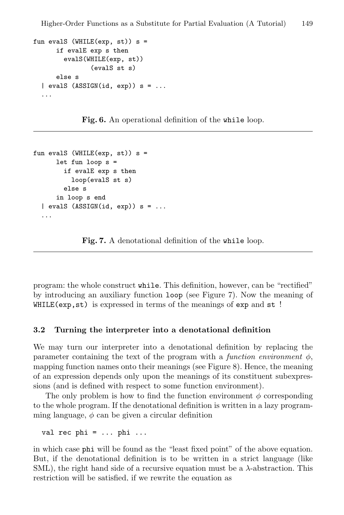```
fun evalS (WHILE(exp, st)) s =
      if evalE exp s then
        evalS(WHILE(exp, st))
               (evalS st s)
      else s
  | evalS (ASSIGN(id, exp)) s = ......
```
Fig. 6. An operational definition of the while loop.

```
fun evalS (WHILE(exp, st)) s =
      let fun loop s =
        if evalE exp s then
          loop(evalS st s)
        else s
      in loop s end
  \vert evalS (ASSIGN(id, exp)) s = ......
```
Fig. 7. A denotational definition of the while loop.

program: the whole construct while. This definition, however, can be "rectified" by introducing an auxiliary function loop (see Figure 7). Now the meaning of WHILE(exp, st) is expressed in terms of the meanings of exp and st!

#### 3.2 Turning the interpreter into a denotational definition

We may turn our interpreter into a denotational definition by replacing the parameter containing the text of the program with a function environment  $\phi$ , mapping function names onto their meanings (see Figure 8). Hence, the meaning of an expression depends only upon the meanings of its constituent subexpressions (and is defined with respect to some function environment).

The only problem is how to find the function environment  $\phi$  corresponding to the whole program. If the denotational definition is written in a lazy programming language,  $\phi$  can be given a circular definition

```
val rec phi = \ldots phi \ldots
```
in which case phi will be found as the "least fixed point" of the above equation. But, if the denotational definition is to be written in a strict language (like SML), the right hand side of a recursive equation must be a  $\lambda$ -abstraction. This restriction will be satisfied, if we rewrite the equation as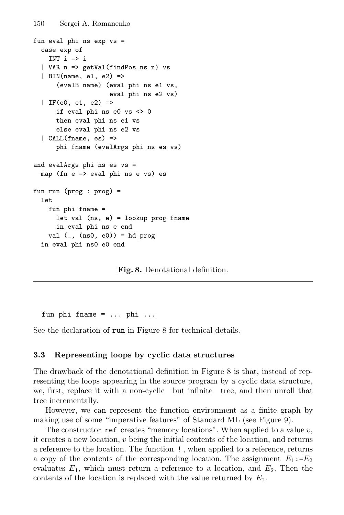```
fun eval phi ns exp vs =
  case exp of
    INT i \Rightarrow i| VAR n => getVal(findPos ns n) vs
  | BIN(name, e1, e2) =>
      (evalB name) (eval phi ns e1 vs,
                    eval phi ns e2 vs)
  | IF(e0, e1, e2) =>
      if eval phi ns e0 vs <> 0
      then eval phi ns e1 vs
      else eval phi ns e2 vs
  | CALL(fname, es) =>
      phi fname (evalArgs phi ns es vs)
and evalArgs phi ns es vs =
 map (fn e => eval phi ns e vs) es
fun run (prog : prog) =
  1e+fun phi fname =
      let val (ns, e) = lookup prog fname
      in eval phi ns e end
    val (, (ns0, 0)) = hd prog
  in eval phi ns0 e0 end
```
Fig. 8. Denotational definition.

fun phi fname =  $\dots$  phi  $\dots$ 

See the declaration of run in Figure 8 for technical details.

#### 3.3 Representing loops by cyclic data structures

The drawback of the denotational definition in Figure 8 is that, instead of representing the loops appearing in the source program by a cyclic data structure, we, first, replace it with a non-cyclic—but infinite—tree, and then unroll that tree incrementally.

However, we can represent the function environment as a finite graph by making use of some "imperative features" of Standard ML (see Figure 9).

The constructor ref creates "memory locations". When applied to a value  $v$ , it creates a new location, v being the initial contents of the location, and returns a reference to the location. The function ! , when applied to a reference, returns a copy of the contents of the corresponding location. The assignment  $E_1$ := $E_2$ evaluates  $E_1$ , which must return a reference to a location, and  $E_2$ . Then the contents of the location is replaced with the value returned by  $E_2$ .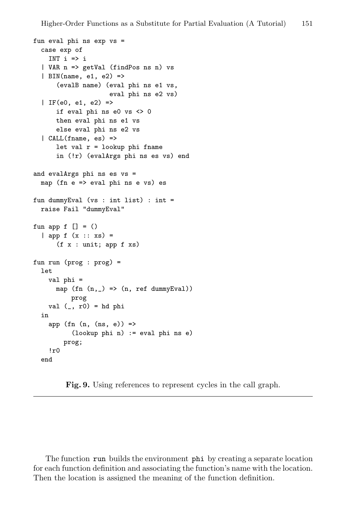```
fun eval phi ns exp vs =
  case exp of
    INT i \Rightarrow i| VAR n => getVal (findPos ns n) vs
  | BIN(name, e1, e2) =>
      (evalB name) (eval phi ns e1 vs,
                    eval phi ns e2 vs)
  | IF(e0, e1, e2) =>
      if eval phi ns e0 vs <> 0
      then eval phi ns e1 vs
      else eval phi ns e2 vs
  | CALL(fname, es) =>
      let val r = lookup phi fname
      in (!r) (evalArgs phi ns es vs) end
and evalArgs phi ns es vs =
  map (fn e => eval phi ns e vs) es
fun dummyEval (vs : int list) : int =
  raise Fail "dummyEval"
fun app f [] = ()| app f (x :: xs) =(f x : unit; app f xs)fun run (prog : prog) =
  let
    val phi =
      map (fn (n, _{\_}) => (n, ref dummyEval))
          prog
    val (, r0) = hd phi
  in
    app (fn (n, (ns, e)) =>
          (lookup phi n) := eval phi ns e)
        prog;
    I_{r0}end
```
Fig. 9. Using references to represent cycles in the call graph.

The function run builds the environment phi by creating a separate location for each function definition and associating the function's name with the location. Then the location is assigned the meaning of the function definition.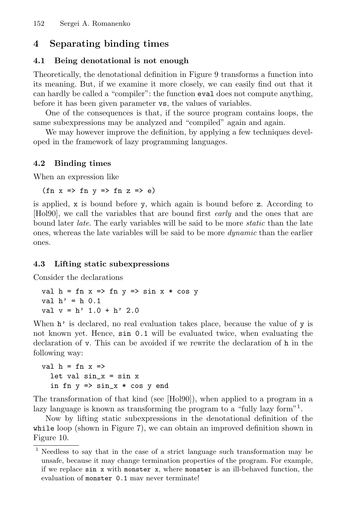## 4 Separating binding times

### 4.1 Being denotational is not enough

Theoretically, the denotational definition in Figure 9 transforms a function into its meaning. But, if we examine it more closely, we can easily find out that it can hardly be called a "compiler": the function eval does not compute anything, before it has been given parameter vs, the values of variables.

One of the consequences is that, if the source program contains loops, the same subexpressions may be analyzed and "compiled" again and again.

We may however improve the definition, by applying a few techniques developed in the framework of lazy programming languages.

## 4.2 Binding times

When an expression like

 $(\text{fn } x \Rightarrow \text{fn } y \Rightarrow \text{fn } z \Rightarrow e)$ 

is applied, x is bound before y, which again is bound before z. According to [Hol90], we call the variables that are bound first early and the ones that are bound later *late*. The early variables will be said to be more *static* than the late ones, whereas the late variables will be said to be more dynamic than the earlier ones.

### 4.3 Lifting static subexpressions

Consider the declarations

val  $h = fn \times => fn \times => sin \times * cos \times$ val  $h' = h \ 0.1$ val  $v = h'$  1.0 + h' 2.0

When  $h'$  is declared, no real evaluation takes place, because the value of y is not known yet. Hence, sin 0.1 will be evaluated twice, when evaluating the declaration of v. This can be avoided if we rewrite the declaration of h in the following way:

```
val h = fn \times =>let val sin_x = sin xin fn y \Rightarrow \sin x * \cos y end
```
The transformation of that kind (see [Hol90]), when applied to a program in a lazy language is known as transforming the program to a "fully lazy form"<sup>1</sup>.

Now by lifting static subexpressions in the denotational definition of the while loop (shown in Figure 7), we can obtain an improved definition shown in Figure 10.

<sup>1</sup> Needless to say that in the case of a strict language such transformation may be unsafe, because it may change termination properties of the program. For example, if we replace sin x with monster x, where monster is an ill-behaved function, the evaluation of monster 0.1 may never terminate!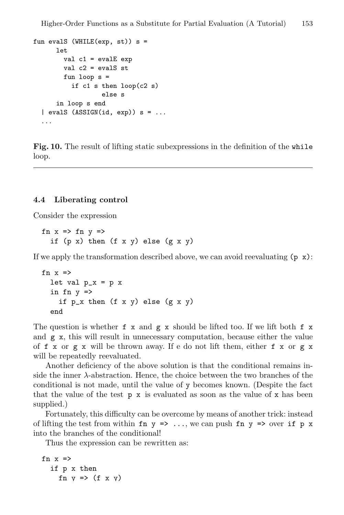```
fun evalS (WHILE(exp, st)) s =
      let
        val c1 = evalE exp
        val c2 = evalS st
        fun loop s =
          if c1 s then loop(c2 s)else s
      in loop s end
  \vert evalS (ASSIGN(id, exp)) s = ......
```
Fig. 10. The result of lifting static subexpressions in the definition of the while loop.

#### 4.4 Liberating control

Consider the expression

fn  $x \Rightarrow$  fn  $y \Rightarrow$ if  $(p \times)$  then  $(f \times y)$  else  $(g \times y)$ 

If we apply the transformation described above, we can avoid reevaluating  $(p \times x)$ :

```
fn x \Rightarrowlet val p_x = p_xin fn y \Rightarrowif p_x then (f \times y) else (g \times y)end
```
The question is whether  $f \times$  and  $g \times$  should be lifted too. If we lift both  $f \times$ and g x, this will result in unnecessary computation, because either the value of f x or g x will be thrown away. If e do not lift them, either f x or g x will be repeatedly reevaluated.

Another deficiency of the above solution is that the conditional remains inside the inner  $\lambda$ -abstraction. Hence, the choice between the two branches of the conditional is not made, until the value of y becomes known. (Despite the fact that the value of the test  $p \times s$  is evaluated as soon as the value of  $x$  has been supplied.)

Fortunately, this difficulty can be overcome by means of another trick: instead of lifting the test from within fn  $y \Rightarrow ...$ , we can push fn  $y \Rightarrow$  over if p x into the branches of the conditional!

Thus the expression can be rewritten as:

```
fn x \Rightarrowif p x then
      fn y \Rightarrow (f \times y)
```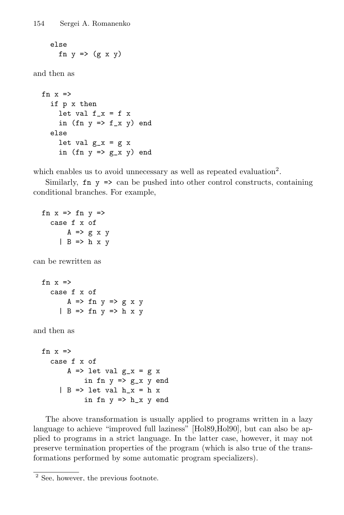else fn  $y \Rightarrow (gx \ y)$ 

and then as

```
fn x \Rightarrowif p x then
     let val f_x = f xin (fn y \Rightarrow f_x y) end
  else
     let val g_x = g_xin (fn y \Rightarrow g_x y) end
```
which enables us to avoid unnecessary as well as repeated evaluation<sup>2</sup>.

Similarly,  $\mathbf{f}$   $\mathbf{v}$  => can be pushed into other control constructs, containing conditional branches. For example,

```
fn x \Rightarrow fn y \Rightarrowcase f x of
            A \Rightarrow g x y| B \Rightarrow h x ycan be rewritten as
   fn x =case f x of
            A \Rightarrow fn y \Rightarrow g x y| B \Rightarrow fin v \Rightarrow h x v
```
and then as

```
fn x \Rightarrowcase f x of
        A \Rightarrow let val g_x = g_xin fn y \Rightarrow g_x y end
      | B \rightleftharpoons let val h_x = h_xin fn y \Rightarrow h_x y end
```
The above transformation is usually applied to programs written in a lazy language to achieve "improved full laziness" [Hol89,Hol90], but can also be applied to programs in a strict language. In the latter case, however, it may not preserve termination properties of the program (which is also true of the transformations performed by some automatic program specializers).

 $\overline{2}$  See, however, the previous footnote.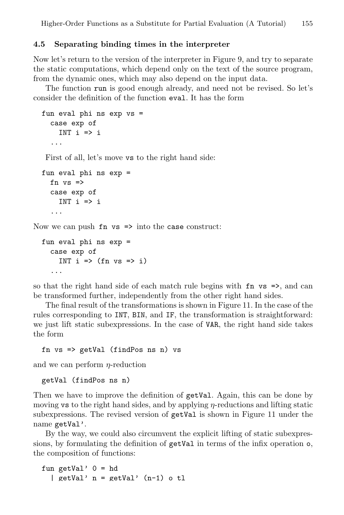#### 4.5 Separating binding times in the interpreter

Now let's return to the version of the interpreter in Figure 9, and try to separate the static computations, which depend only on the text of the source program, from the dynamic ones, which may also depend on the input data.

The function run is good enough already, and need not be revised. So let's consider the definition of the function eval. It has the form

```
fun eval phi ns exp vs =
     case exp of
       INT i \Rightarrow i...
   First of all, let's move vs to the right hand side:
  fun eval phi ns exp =
    fn vs \Rightarrowcase exp of
       INT i \Rightarrow i...
Now we can push \mathbf{f} n vs \Rightarrow into the case construct:
  fun eval phi ns exp =
     case exp of
       INT i \Rightarrow (fn vs => i)
```
so that the right hand side of each match rule begins with fn vs =>, and can be transformed further, independently from the other right hand sides.

The final result of the transformations is shown in Figure 11. In the case of the rules corresponding to INT, BIN, and IF, the transformation is straightforward: we just lift static subexpressions. In the case of VAR, the right hand side takes the form

```
fn vs => getVal (findPos ns n) vs
```
and we can perform  $\eta$ -reduction

```
getVal (findPos ns n)
```
...

Then we have to improve the definition of getVal. Again, this can be done by moving vs to the right hand sides, and by applying  $\eta$ -reductions and lifting static subexpressions. The revised version of getVal is shown in Figure 11 under the name getVal'.

By the way, we could also circumvent the explicit lifting of static subexpressions, by formulating the definition of getVal in terms of the infix operation o, the composition of functions:

```
fun getVal' 0 = hd| getVal' n = getVal' (n-1) o tl
```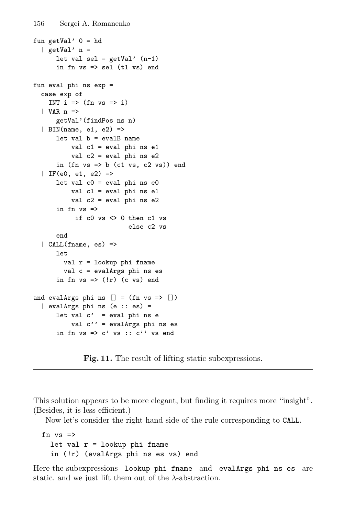```
156 Sergei A. Romanenko
fun getVal' 0 = hd| getVal' n =let val sel = getVal' (n-1)
      in fn vs => sel (tl vs) end
fun eval phi ns exp =
  case exp of
    INT i \Rightarrow (fn vs \Rightarrow i)
  | VAR n =>
      getVal'(findPos ns n)
  | BIN(name, e1, e2) =>
      let val b = evalB name
          val c1 = eval phi ns e1
          val c2 = eval phi ns e2
      in (fn vs \Rightarrow b (c1 vs, c2 vs)) end
  | IF(e0, e1, e2) =>
      let val c0 = eval phi ns e0val c1 = eval phi ns e1
          val c2 = eval phi ns e2
      in fn vs \Rightarrowif c0 vs <> 0 then c1 vs
                           else c2 vs
      end
```
val  $r =$  lookup phi fname val c = evalArgs phi ns es in fn  $vs \Rightarrow (!r)$  (c  $vs)$  end

and evalArgs phi ns  $[] = (fn vs => [])$ | evalArgs phi ns (e :: es) =

| CALL(fname, es) =>

let

```
let val c' = eval phi ns e
   val c' = evalArgs phi ns es
in fn vs => c' vs :: c'' vs end
       Fig. 11. The result of lifting static subexpressions.
```
This solution appears to be more elegant, but finding it requires more "insight". (Besides, it is less efficient.)

Now let's consider the right hand side of the rule corresponding to CALL.

```
fn vs =let val r = lookup phi fname
  in (!r) (evalArgs phi ns es vs) end
```
Here the subexpressions lookup phi fname and evalArgs phi ns es are static, and we just lift them out of the  $\lambda$ -abstraction.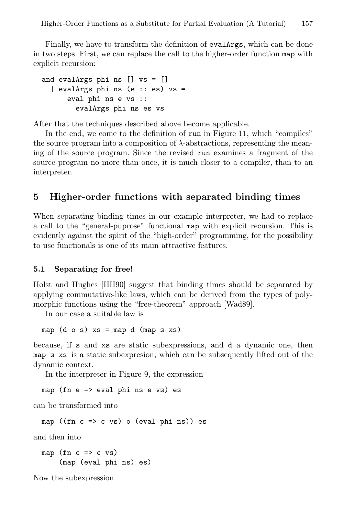Finally, we have to transform the definition of evalArgs, which can be done in two steps. First, we can replace the call to the higher-order function map with explicit recursion:

```
and evalArgs phi ns [] vs = []
  | evalArgs phi ns (e :: es) vs =
      eval phi ns e vs ::
        evalArgs phi ns es vs
```
After that the techniques described above become applicable.

In the end, we come to the definition of run in Figure 11, which "compiles" the source program into a composition of  $\lambda$ -abstractions, representing the meaning of the source program. Since the revised run examines a fragment of the source program no more than once, it is much closer to a compiler, than to an interpreter.

## 5 Higher-order functions with separated binding times

When separating binding times in our example interpreter, we had to replace a call to the "general-puprose" functional map with explicit recursion. This is evidently against the spirit of the "high-order" programming, for the possibility to use functionals is one of its main attractive features.

#### 5.1 Separating for free!

Holst and Hughes [HH90] suggest that binding times should be separated by applying commutative-like laws, which can be derived from the types of polymorphic functions using the "free-theorem" approach [Wad89].

In our case a suitable law is

map  $(d \circ s)$  xs = map  $d$  (map s xs)

because, if s and xs are static subexpressions, and d a dynamic one, then map s xs is a static subexpresion, which can be subsequently lifted out of the dynamic context.

In the interpreter in Figure 9, the expression

map (fn e => eval phi ns e vs) es

can be transformed into

map ((fn c => c vs) o (eval phi ns)) es

and then into

map (fn  $c \Rightarrow c \text{ vs.}$ ) (map (eval phi ns) es)

Now the subexpression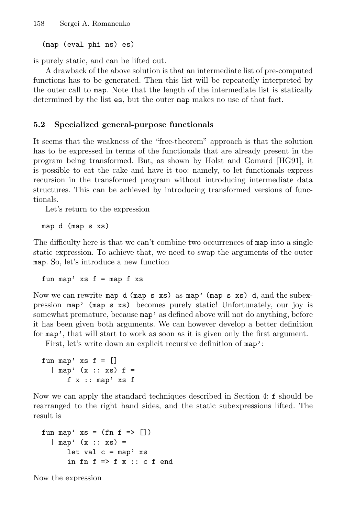(map (eval phi ns) es)

is purely static, and can be lifted out.

A drawback of the above solution is that an intermediate list of pre-computed functions has to be generated. Then this list will be repeatedly interpreted by the outer call to map. Note that the length of the intermediate list is statically determined by the list es, but the outer map makes no use of that fact.

#### 5.2 Specialized general-purpose functionals

It seems that the weakness of the "free-theorem" approach is that the solution has to be expressed in terms of the functionals that are already present in the program being transformed. But, as shown by Holst and Gomard [HG91], it is possible to eat the cake and have it too: namely, to let functionals express recursion in the transformed program without introducing intermediate data structures. This can be achieved by introducing transformed versions of functionals.

Let's return to the expression

map d (map s xs)

The difficulty here is that we can't combine two occurrences of map into a single static expression. To achieve that, we need to swap the arguments of the outer map. So, let's introduce a new function

fun map'  $xs f = map f xs$ 

Now we can rewrite map  $d$  (map s xs) as map' (map s xs) d, and the subexpression map' (map s xs) becomes purely static! Unfortunately, our joy is somewhat premature, because  $map'$  as defined above will not do anything, before it has been given both arguments. We can however develop a better definition for map', that will start to work as soon as it is given only the first argument.

First, let's write down an explicit recursive definition of map':

```
fun map' xs f = []\lceil map' (x :: xs) f =
       f \times :: map' \times s f
```
Now we can apply the standard techniques described in Section 4: f should be rearranged to the right hand sides, and the static subexpressions lifted. The result is

```
fun map' xs = (fn f \Rightarrow [])| map' (x :: xs) =
       let val c = map' xs
       in fn f \Rightarrow f x :: c f end
```
Now the expression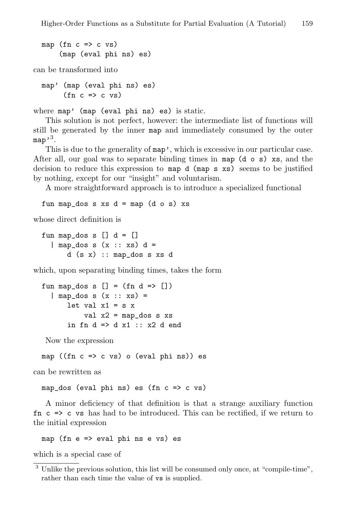```
map (fn c \Rightarrow c \text{ vs.})
      (map (eval phi ns) es)
```
can be transformed into

```
map' (map (eval phi ns) es)
        (\text{fn } c \Rightarrow c \text{ vs})
```
where map' (map (eval phi ns) es) is static.

This solution is not perfect, however: the intermediate list of functions will still be generated by the inner map and immediately consumed by the outer map' $^3$ .

This is due to the generality of map', which is excessive in our particular case. After all, our goal was to separate binding times in map  $(d \circ s)$  xs, and the decision to reduce this expression to map d (map s xs) seems to be justified by nothing, except for our "insight" and voluntarism.

A more straightforward approach is to introduce a specialized functional

fun map\_dos s  $xs$  d = map (d o s)  $xs$ 

whose direct definition is

fun map\_dos s  $[] d = []$  $\ln \text{map\_dos} s (x :: xs) d =$ d (s x) :: map\_dos s xs d

which, upon separating binding times, takes the form

```
fun map_dos s [] = (fn d => []\ln n = \text{dors } s(x : x s) =let val x1 = s xval x2 = map\_dos s xsin fn d \Rightarrow d \times 1 :: x2 d end
```
Now the expression

map ((fn  $c \Rightarrow c$  vs) o (eval phi ns)) es

can be rewritten as

map\_dos (eval phi ns) es (fn c => c vs)

A minor deficiency of that definition is that a strange auxiliary function  $f_n$  c  $\Rightarrow$  c vs has had to be introduced. This can be rectified, if we return to the initial expression

map (fn e => eval phi ns e vs) es

which is a special case of

<sup>&</sup>lt;sup>3</sup> Unlike the previous solution, this list will be consumed only once, at "compile-time", rather than each time the value of vs is supplied.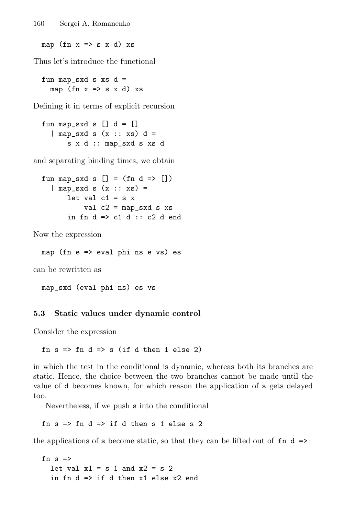map (fn  $x \Rightarrow s \times d$ ) xs

Thus let's introduce the functional

fun map\_sxd s  $xs$  d = map (fn  $x \Rightarrow s \times d$ ) xs

Defining it in terms of explicit recursion

fun map\_sxd s  $[] d = []$  $\ln \text{map\_sxd s}$  (x :: xs) d = s x d :: map\_sxd s xs d

and separating binding times, we obtain

fun map\_sxd s  $[] = (fn d => [])$  $\ln m = s \times d$  s  $(x : x s) =$ let val  $c1 = s x$ val  $c2 = map\_sxd s xs$ in fn  $d \Rightarrow c1 d :: c2 d$  end

Now the expression

map (fn e => eval phi ns e vs) es

can be rewritten as

map\_sxd (eval phi ns) es vs

#### 5.3 Static values under dynamic control

Consider the expression

fn  $s \Rightarrow fn \ d \Rightarrow s$  (if d then 1 else 2)

in which the test in the conditional is dynamic, whereas both its branches are static. Hence, the choice between the two branches cannot be made until the value of d becomes known, for which reason the application of s gets delayed too.

Nevertheless, if we push s into the conditional

fn  $s \Rightarrow$  fn  $d \Rightarrow$  if d then  $s$  1 else  $s$  2

the applications of s become static, so that they can be lifted out of  $fn \, d \geq$ :

fn  $s \Rightarrow$ let val  $x1 = s 1$  and  $x2 = s 2$ in fn  $d \Rightarrow$  if d then  $x1$  else  $x2$  end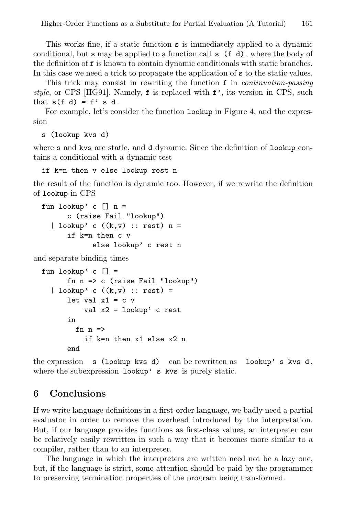This works fine, if a static function s is immediately applied to a dynamic conditional, but s may be applied to a function call s (f d) , where the body of the definition of f is known to contain dynamic conditionals with static branches. In this case we need a trick to propagate the application of s to the static values.

This trick may consist in rewriting the function f in *continuation-passing* style, or CPS [HG91]. Namely,  $f$  is replaced with  $f'$ , its version in CPS, such that  $s(f d) = f' s d$ .

For example, let's consider the function lookup in Figure 4, and the expression

s (lookup kvs d)

where s and kvs are static, and d dynamic. Since the definition of lookup contains a conditional with a dynamic test

if k=n then v else lookup rest n

the result of the function is dynamic too. However, if we rewrite the definition of lookup in CPS

```
fun lookup' c [] n =
      c (raise Fail "lookup")
  | lookup' c ((k, v) :: rest) n =if k=n then c v
            else lookup' c rest n
```
and separate binding times

```
fun lookup' c [] =fn n => c (raise Fail "lookup")
  | lookup' c ((k,v) :: rest) =
      let val x1 = c v
          val x2 = lookup' c rest
      in
        fn n \Rightarrowif k=n then x1 else x2 n
      end
```
the expression  $s$  (lookup kvs d) can be rewritten as lookup's kvs d, where the subexpression lookup' s kvs is purely static.

## 6 Conclusions

If we write language definitions in a first-order language, we badly need a partial evaluator in order to remove the overhead introduced by the interpretation. But, if our language provides functions as first-class values, an interpreter can be relatively easily rewritten in such a way that it becomes more similar to a compiler, rather than to an interpreter.

The language in which the interpreters are written need not be a lazy one, but, if the language is strict, some attention should be paid by the programmer to preserving termination properties of the program being transformed.